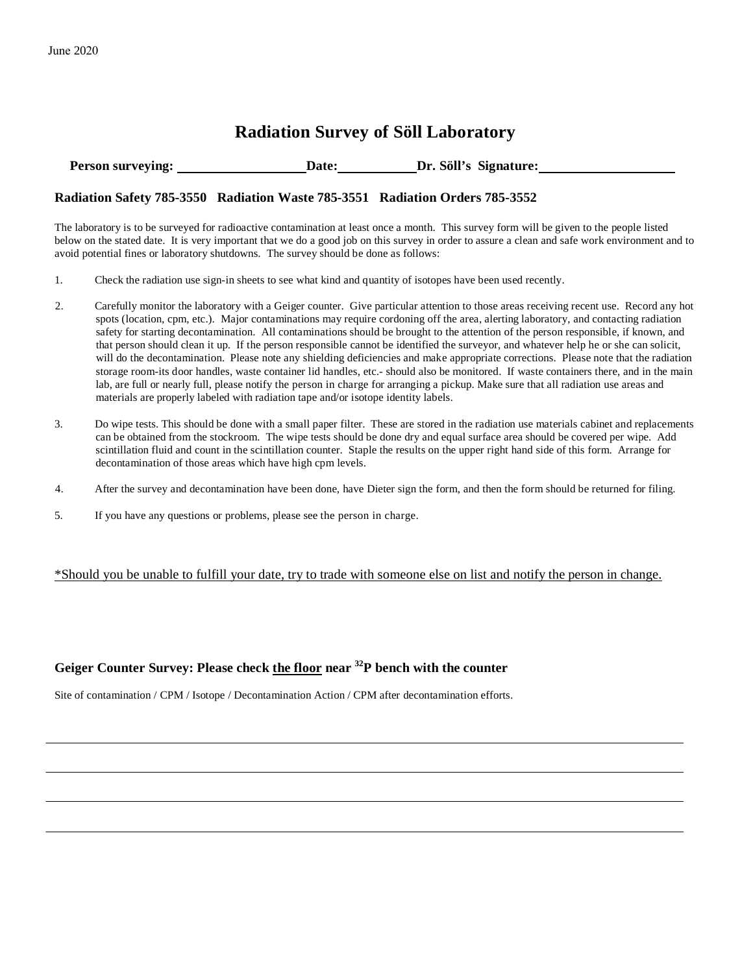# **Radiation Survey of Söll Laboratory**

**Person surveying: Date: Dr. Söll's Signature:** 

#### **Radiation Safety 785-3550 Radiation Waste 785-3551 Radiation Orders 785-3552**

The laboratory is to be surveyed for radioactive contamination at least once a month. This survey form will be given to the people listed below on the stated date. It is very important that we do a good job on this survey in order to assure a clean and safe work environment and to avoid potential fines or laboratory shutdowns. The survey should be done as follows:

- 1. Check the radiation use sign-in sheets to see what kind and quantity of isotopes have been used recently.
- 2. Carefully monitor the laboratory with a Geiger counter. Give particular attention to those areas receiving recent use. Record any hot spots (location, cpm, etc.). Major contaminations may require cordoning off the area, alerting laboratory, and contacting radiation safety for starting decontamination. All contaminations should be brought to the attention of the person responsible, if known, and that person should clean it up. If the person responsible cannot be identified the surveyor, and whatever help he or she can solicit, will do the decontamination. Please note any shielding deficiencies and make appropriate corrections. Please note that the radiation storage room-its door handles, waste container lid handles, etc.- should also be monitored. If waste containers there, and in the main lab, are full or nearly full, please notify the person in charge for arranging a pickup. Make sure that all radiation use areas and materials are properly labeled with radiation tape and/or isotope identity labels.
- 3. Do wipe tests. This should be done with a small paper filter. These are stored in the radiation use materials cabinet and replacements can be obtained from the stockroom. The wipe tests should be done dry and equal surface area should be covered per wipe. Add scintillation fluid and count in the scintillation counter. Staple the results on the upper right hand side of this form. Arrange for decontamination of those areas which have high cpm levels.
- 4. After the survey and decontamination have been done, have Dieter sign the form, and then the form should be returned for filing.
- 5. If you have any questions or problems, please see the person in charge.

### \*Should you be unable to fulfill your date, try to trade with someone else on list and notify the person in change.

### **Geiger Counter Survey: Please check the floor near 32P bench with the counter**

Site of contamination / CPM / Isotope / Decontamination Action / CPM after decontamination efforts.